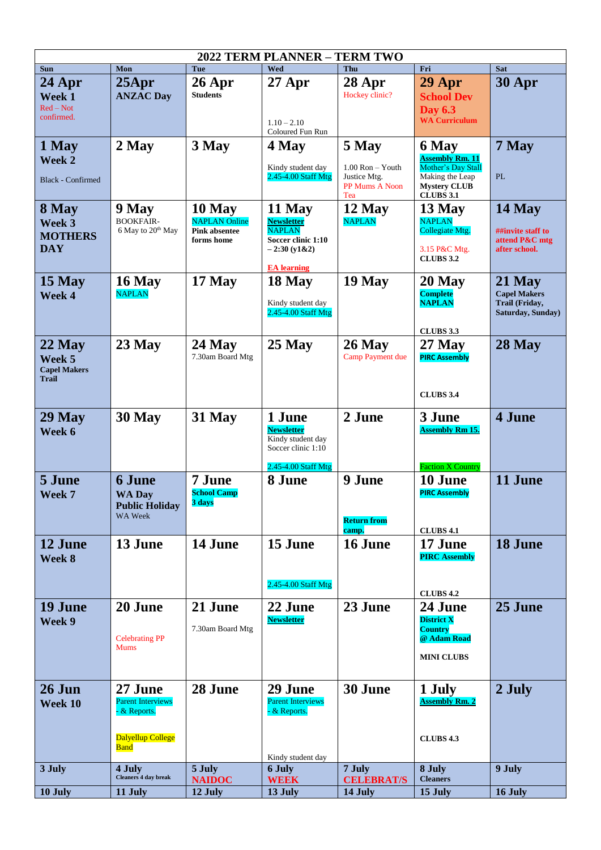| 2022 TERM PLANNER - TERM TWO                              |                                                                                         |                                                                      |                                                                                                           |                                                                        |                                                                                                                     |                                                                      |  |  |  |  |
|-----------------------------------------------------------|-----------------------------------------------------------------------------------------|----------------------------------------------------------------------|-----------------------------------------------------------------------------------------------------------|------------------------------------------------------------------------|---------------------------------------------------------------------------------------------------------------------|----------------------------------------------------------------------|--|--|--|--|
| <b>Sun</b>                                                | Mon                                                                                     | Tue                                                                  | Wed                                                                                                       | Thu                                                                    | Fri                                                                                                                 | <b>Sat</b>                                                           |  |  |  |  |
| 24 Apr<br>Week 1<br>$Red - Not$<br>confirmed.             | $25$ Apr<br><b>ANZAC Day</b>                                                            | $26$ Apr<br><b>Students</b>                                          | $27$ Apr<br>$1.10 - 2.10$<br>Coloured Fun Run                                                             | 28 Apr<br>Hockey clinic?                                               | 29 Apr<br><b>School Dev</b><br><b>Day 6.3</b><br><b>WA Curriculum</b>                                               | 30 Apr                                                               |  |  |  |  |
| 1 May<br>Week 2<br><b>Black - Confirmed</b>               | 2 May                                                                                   | 3 May                                                                | 4 May<br>Kindy student day<br>2.45-4.00 Staff Mtg                                                         | 5 May<br>$1.00$ Ron $-$ Youth<br>Justice Mtg.<br>PP Mums A Noon<br>Tea | 6 May<br><b>Assembly Rm. 11</b><br>Mother's Day Stall<br>Making the Leap<br><b>Mystery CLUB</b><br><b>CLUBS 3.1</b> | 7 May<br>PL                                                          |  |  |  |  |
| 8 May<br>Week 3<br><b>MOTHERS</b><br><b>DAY</b>           | 9 May<br><b>BOOKFAIR-</b><br>6 May to 20 <sup>th</sup> May                              | 10 May<br><b>NAPLAN</b> Online<br><b>Pink absentee</b><br>forms home | 11 May<br><b>Newsletter</b><br><b>NAPLAN</b><br>Soccer clinic 1:10<br>$-2:30(y1&2)$<br><b>EA</b> learning | 12 May<br><b>NAPLAN</b>                                                | 13 May<br><b>NAPLAN</b><br>Collegiate Mtg.<br>3.15 P&C Mtg.<br><b>CLUBS 3.2</b>                                     | 14 May<br>##invite staff to<br>attend P&C mtg<br>after school.       |  |  |  |  |
| 15 May<br>Week 4                                          | 16 May<br><b>NAPLAN</b>                                                                 | 17 May                                                               | 18 May<br>Kindy student day<br>2.45-4.00 Staff Mtg                                                        | 19 May                                                                 | 20 May<br><b>Complete</b><br><b>NAPLAN</b><br><b>CLUBS 3.3</b>                                                      | 21 May<br><b>Capel Makers</b><br>Trail (Friday,<br>Saturday, Sunday) |  |  |  |  |
| $22$ May<br>Week 5<br><b>Capel Makers</b><br><b>Trail</b> | $23$ May                                                                                | $24$ May<br>7.30am Board Mtg                                         | $25$ May                                                                                                  | $26$ May<br>Camp Payment due                                           | $27$ May<br><b>PIRC Assembly</b><br><b>CLUBS 3.4</b>                                                                | 28 May                                                               |  |  |  |  |
| $29$ May<br>Week 6                                        | 30 May                                                                                  | 31 May                                                               | 1 June<br><b>Newsletter</b><br>Kindy student day<br>Soccer clinic 1:10<br>2.45-4.00 Staff Mtg             | 2 June                                                                 | 3 June<br><b>Assembly Rm 15.</b><br><b>Faction X Country</b>                                                        | 4 June                                                               |  |  |  |  |
| 5 June<br>Week 7                                          | <b>6 June</b><br><b>WA Day</b><br><b>Public Holiday</b><br>WA Week                      | 7 June<br><b>School Camp</b><br>3 days                               | 8 June                                                                                                    | 9 June<br><b>Return from</b><br>camp.                                  | 10 June<br><b>PIRC Assembly</b><br><b>CLUBS 4.1</b>                                                                 | 11 June                                                              |  |  |  |  |
| 12 June<br>Week 8                                         | 13 June                                                                                 | 14 June                                                              | 15 June<br>2.45-4.00 Staff Mtg                                                                            | 16 June                                                                | 17 June<br><b>PIRC Assembly</b><br><b>CLUBS 4.2</b>                                                                 | 18 June                                                              |  |  |  |  |
| 19 June<br>Week 9                                         | 20 June<br><b>Celebrating PP</b><br><b>Mums</b>                                         | 21 June<br>7.30am Board Mtg                                          | 22 June<br><b>Newsletter</b>                                                                              | 23 June                                                                | 24 June<br><b>District X</b><br><b>Country</b><br>@ Adam Road<br><b>MINI CLUBS</b>                                  | 25 June                                                              |  |  |  |  |
| $26$ Jun<br>Week 10                                       | 27 June<br><b>Parent Interviews</b><br>- & Reports.<br>Dalyellup College<br><b>Band</b> | 28 June                                                              | 29 June<br><b>Parent Interviews</b><br>$-$ & Reports.<br>Kindy student day                                | 30 June                                                                | 1 July<br><b>Assembly Rm. 2</b><br><b>CLUBS 4.3</b>                                                                 | 2 July                                                               |  |  |  |  |
| 3 July                                                    | 4 July<br><b>Cleaners 4 day break</b>                                                   | 5 July<br><b>NAIDOC</b>                                              | <b>6 July</b><br><b>WEEK</b>                                                                              | 7 July<br><b>CELEBRAT/S</b>                                            | 8 July<br><b>Cleaners</b>                                                                                           | 9 July                                                               |  |  |  |  |
| 10 July                                                   | 11 July                                                                                 | 12 July                                                              | 13 July                                                                                                   | 14 July                                                                | 15 July                                                                                                             | 16 July                                                              |  |  |  |  |